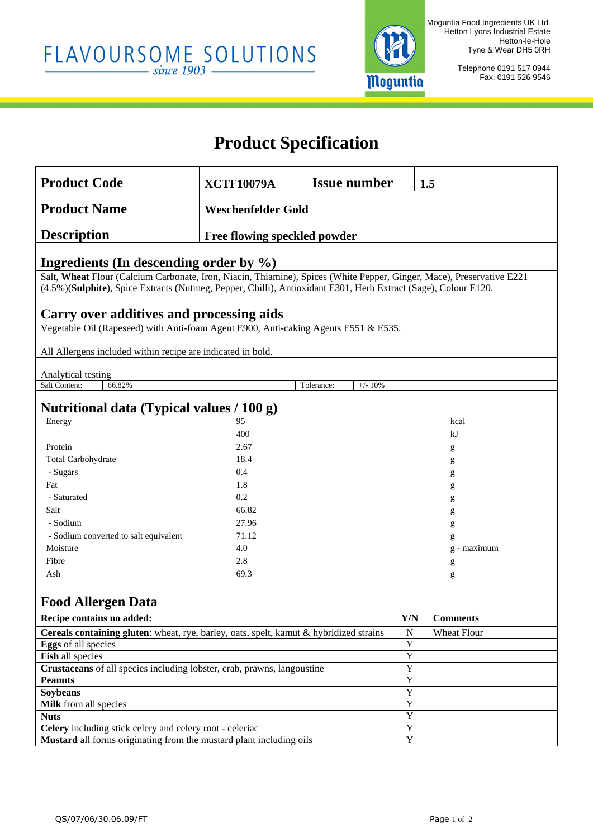

Telephone 0191 517 0944 Fax: 0191 526 9546

# **Product Specification**

| <b>Product Code</b>                                                                                                                                                                                                                     | <b>XCTF10079A</b>            | <b>Issue number</b>     |                                  | 1.5             |  |  |  |
|-----------------------------------------------------------------------------------------------------------------------------------------------------------------------------------------------------------------------------------------|------------------------------|-------------------------|----------------------------------|-----------------|--|--|--|
| <b>Product Name</b>                                                                                                                                                                                                                     |                              |                         |                                  |                 |  |  |  |
|                                                                                                                                                                                                                                         | <b>Weschenfelder Gold</b>    |                         |                                  |                 |  |  |  |
| <b>Description</b>                                                                                                                                                                                                                      | Free flowing speckled powder |                         |                                  |                 |  |  |  |
|                                                                                                                                                                                                                                         |                              |                         |                                  |                 |  |  |  |
| Ingredients (In descending order by $\%$ )                                                                                                                                                                                              |                              |                         |                                  |                 |  |  |  |
| Salt, Wheat Flour (Calcium Carbonate, Iron, Niacin, Thiamine), Spices (White Pepper, Ginger, Mace), Preservative E221<br>(4.5%)(Sulphite), Spice Extracts (Nutmeg, Pepper, Chilli), Antioxidant E301, Herb Extract (Sage), Colour E120. |                              |                         |                                  |                 |  |  |  |
|                                                                                                                                                                                                                                         |                              |                         |                                  |                 |  |  |  |
| Carry over additives and processing aids                                                                                                                                                                                                |                              |                         |                                  |                 |  |  |  |
| Vegetable Oil (Rapeseed) with Anti-foam Agent E900, Anti-caking Agents E551 & E535.                                                                                                                                                     |                              |                         |                                  |                 |  |  |  |
| All Allergens included within recipe are indicated in bold.                                                                                                                                                                             |                              |                         |                                  |                 |  |  |  |
|                                                                                                                                                                                                                                         |                              |                         |                                  |                 |  |  |  |
| Analytical testing                                                                                                                                                                                                                      |                              |                         |                                  |                 |  |  |  |
| Salt Content:<br>66.82%                                                                                                                                                                                                                 |                              | Tolerance:<br>$+/- 10%$ |                                  |                 |  |  |  |
| Nutritional data (Typical values / 100 g)                                                                                                                                                                                               |                              |                         |                                  |                 |  |  |  |
| Energy                                                                                                                                                                                                                                  | 95                           |                         |                                  | kcal            |  |  |  |
|                                                                                                                                                                                                                                         | 400                          |                         |                                  | kJ              |  |  |  |
| Protein                                                                                                                                                                                                                                 | 2.67                         |                         |                                  | g               |  |  |  |
| Total Carbohydrate                                                                                                                                                                                                                      | 18.4                         |                         | g                                |                 |  |  |  |
| - Sugars                                                                                                                                                                                                                                | 0.4                          |                         | g                                |                 |  |  |  |
| Fat                                                                                                                                                                                                                                     | 1.8                          |                         |                                  | g               |  |  |  |
| - Saturated                                                                                                                                                                                                                             | 0.2                          |                         |                                  | g               |  |  |  |
| Salt                                                                                                                                                                                                                                    | 66.82                        |                         | g                                |                 |  |  |  |
| - Sodium                                                                                                                                                                                                                                | 27.96                        |                         | g                                |                 |  |  |  |
| - Sodium converted to salt equivalent                                                                                                                                                                                                   | 71.12                        |                         | g                                |                 |  |  |  |
| Moisture                                                                                                                                                                                                                                | 4.0                          |                         | $g$ - maximum                    |                 |  |  |  |
| Fibre                                                                                                                                                                                                                                   | 2.8                          |                         | g                                |                 |  |  |  |
| Ash                                                                                                                                                                                                                                     | 69.3                         |                         | g                                |                 |  |  |  |
| <b>Food Allergen Data</b>                                                                                                                                                                                                               |                              |                         |                                  |                 |  |  |  |
| Recipe contains no added:                                                                                                                                                                                                               |                              |                         | $\mathbf{Y}/\mathbf{N}$          | <b>Comments</b> |  |  |  |
| Cereals containing gluten: wheat, rye, barley, oats, spelt, kamut & hybridized strains                                                                                                                                                  |                              |                         | ${\bf N}$                        | Wheat Flour     |  |  |  |
| <b>Eggs</b> of all species                                                                                                                                                                                                              |                              |                         | $\mathbf Y$                      |                 |  |  |  |
| Fish all species                                                                                                                                                                                                                        |                              |                         | $\overline{Y}$                   |                 |  |  |  |
| Crustaceans of all species including lobster, crab, prawns, langoustine                                                                                                                                                                 |                              |                         | $\overline{Y}$                   |                 |  |  |  |
| <b>Peanuts</b>                                                                                                                                                                                                                          |                              |                         | $\overline{Y}$                   |                 |  |  |  |
| <b>Soybeans</b>                                                                                                                                                                                                                         |                              |                         | $\overline{Y}$                   |                 |  |  |  |
| Milk from all species                                                                                                                                                                                                                   |                              |                         | $\overline{Y}$                   |                 |  |  |  |
| <b>Nuts</b>                                                                                                                                                                                                                             |                              |                         | $\overline{Y}$                   |                 |  |  |  |
| Celery including stick celery and celery root - celeriac                                                                                                                                                                                |                              |                         | $\overline{Y}$<br>$\overline{Y}$ |                 |  |  |  |
| <b>Mustard</b> all forms originating from the mustard plant including oils                                                                                                                                                              |                              |                         |                                  |                 |  |  |  |